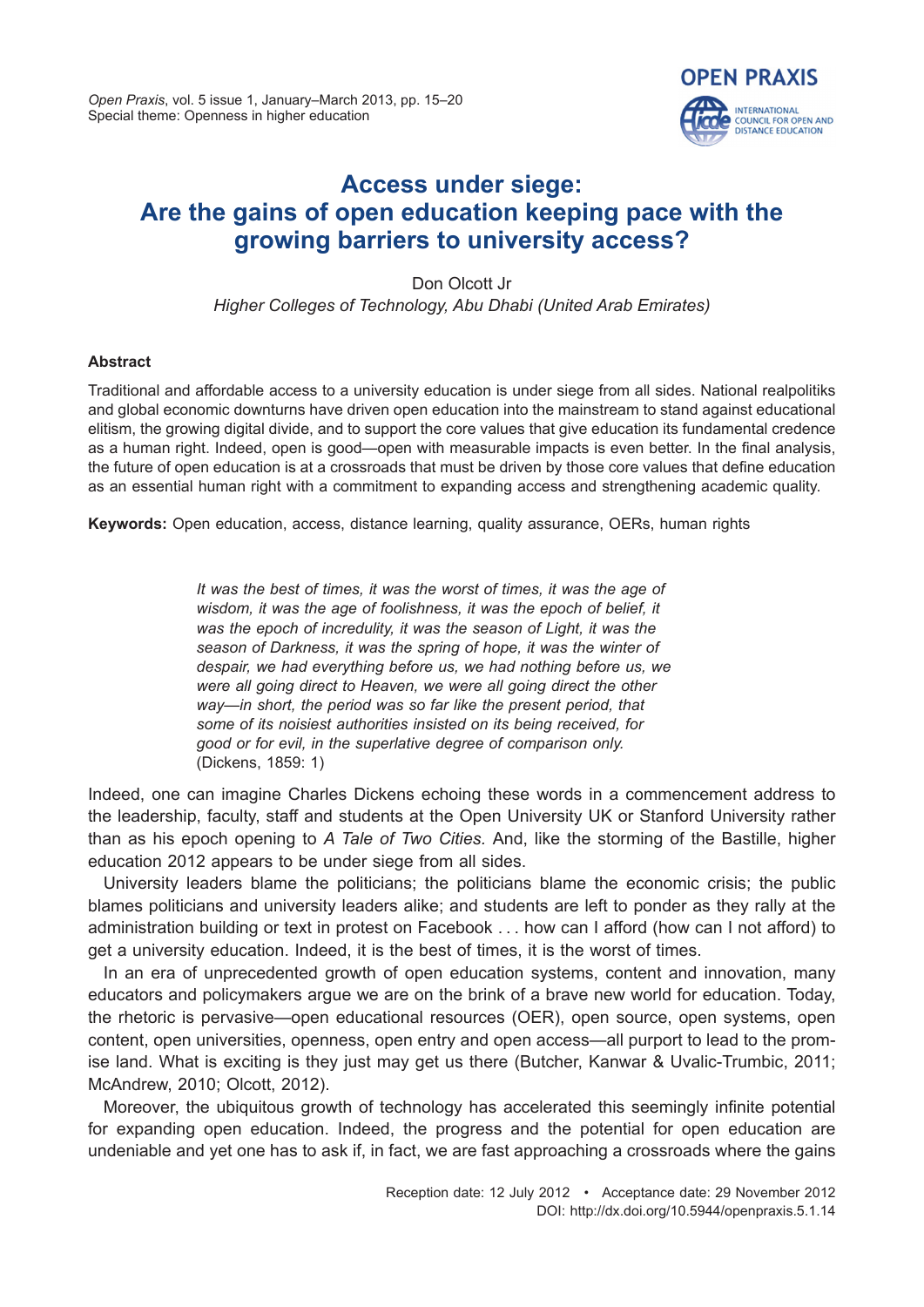

# **Access under siege: Are the gains of open education keeping pace with the growing barriers to university access?**

Don Olcott Jr *Higher Colleges of Technology, Abu Dhabi (United Arab Emirates)*

## **Abstract**

Traditional and affordable access to a university education is under siege from all sides. National realpolitiks and global economic downturns have driven open education into the mainstream to stand against educational elitism, the growing digital divide, and to support the core values that give education its fundamental credence as a human right. Indeed, open is good—open with measurable impacts is even better. In the final analysis, the future of open education is at a crossroads that must be driven by those core values that define education as an essential human right with a commitment to expanding access and strengthening academic quality.

**Keywords:** Open education, access, distance learning, quality assurance, OERs, human rights

*It was the best of times, it was the worst of times, it was the age of wisdom, it was the age of foolishness, it was the epoch of belief, it was the epoch of incredulity, it was the season of Light, it was the season of Darkness, it was the spring of hope, it was the winter of despair, we had everything before us, we had nothing before us, we were all going direct to Heaven, we were all going direct the other way—in short, the period was so far like the present period, that some of its noisiest authorities insisted on its being received, for good or for evil, in the superlative degree of comparison only.* (Dickens, 1859: 1)

Indeed, one can imagine Charles Dickens echoing these words in a commencement address to the leadership, faculty, staff and students at the Open University UK or Stanford University rather than as his epoch opening to *A Tale of Two Cities.* And, like the storming of the Bastille, higher education 2012 appears to be under siege from all sides.

University leaders blame the politicians; the politicians blame the economic crisis; the public blames politicians and university leaders alike; and students are left to ponder as they rally at the administration building or text in protest on Facebook . . . how can I afford (how can I not afford) to get a university education. Indeed, it is the best of times, it is the worst of times.

In an era of unprecedented growth of open education systems, content and innovation, many educators and policymakers argue we are on the brink of a brave new world for education. Today, the rhetoric is pervasive—open educational resources (OER), open source, open systems, open content, open universities, openness, open entry and open access—all purport to lead to the promise land. What is exciting is they just may get us there (Butcher, Kanwar & Uvalic-Trumbic, 2011; McAndrew, 2010; Olcott, 2012).

Moreover, the ubiquitous growth of technology has accelerated this seemingly infinite potential for expanding open education. Indeed, the progress and the potential for open education are undeniable and yet one has to ask if, in fact, we are fast approaching a crossroads where the gains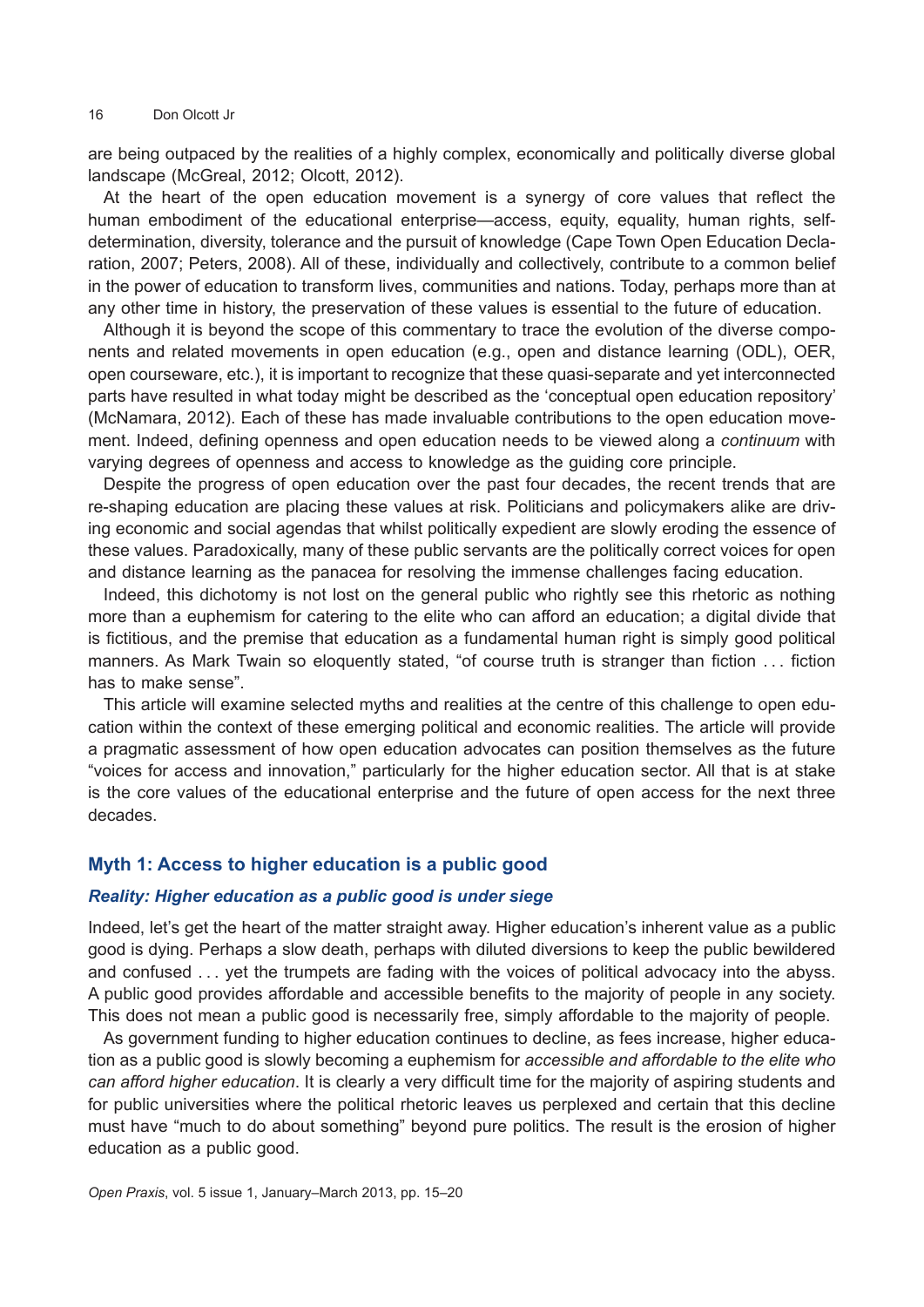#### 16 Don Olcott Jr

are being outpaced by the realities of a highly complex, economically and politically diverse global landscape (McGreal, 2012; Olcott, 2012).

At the heart of the open education movement is a synergy of core values that reflect the human embodiment of the educational enterprise—access, equity, equality, human rights, selfdetermination, diversity, tolerance and the pursuit of knowledge (Cape Town Open Education Declaration, 2007; Peters, 2008). All of these, individually and collectively, contribute to a common belief in the power of education to transform lives, communities and nations. Today, perhaps more than at any other time in history, the preservation of these values is essential to the future of education.

Although it is beyond the scope of this commentary to trace the evolution of the diverse components and related movements in open education (e.g., open and distance learning (ODL), OER, open courseware, etc.), it is important to recognize that these quasi-separate and yet interconnected parts have resulted in what today might be described as the 'conceptual open education repository' (McNamara, 2012). Each of these has made invaluable contributions to the open education movement. Indeed, defining openness and open education needs to be viewed along a *continuum* with varying degrees of openness and access to knowledge as the guiding core principle.

Despite the progress of open education over the past four decades, the recent trends that are re-shaping education are placing these values at risk. Politicians and policymakers alike are driving economic and social agendas that whilst politically expedient are slowly eroding the essence of these values. Paradoxically, many of these public servants are the politically correct voices for open and distance learning as the panacea for resolving the immense challenges facing education.

Indeed, this dichotomy is not lost on the general public who rightly see this rhetoric as nothing more than a euphemism for catering to the elite who can afford an education; a digital divide that is fictitious, and the premise that education as a fundamental human right is simply good political manners. As Mark Twain so eloquently stated, "of course truth is stranger than fiction . . . fiction has to make sense".

This article will examine selected myths and realities at the centre of this challenge to open education within the context of these emerging political and economic realities. The article will provide a pragmatic assessment of how open education advocates can position themselves as the future "voices for access and innovation," particularly for the higher education sector. All that is at stake is the core values of the educational enterprise and the future of open access for the next three decades.

# **Myth 1: Access to higher education is a public good**

#### *Reality: Higher education as a public good is under siege*

Indeed, let's get the heart of the matter straight away. Higher education's inherent value as a public good is dying. Perhaps a slow death, perhaps with diluted diversions to keep the public bewildered and confused . . . yet the trumpets are fading with the voices of political advocacy into the abyss. A public good provides affordable and accessible benefits to the majority of people in any society. This does not mean a public good is necessarily free, simply affordable to the majority of people.

As government funding to higher education continues to decline, as fees increase, higher education as a public good is slowly becoming a euphemism for *accessible and affordable to the elite who can afford higher education*. It is clearly a very difficult time for the majority of aspiring students and for public universities where the political rhetoric leaves us perplexed and certain that this decline must have "much to do about something" beyond pure politics. The result is the erosion of higher education as a public good.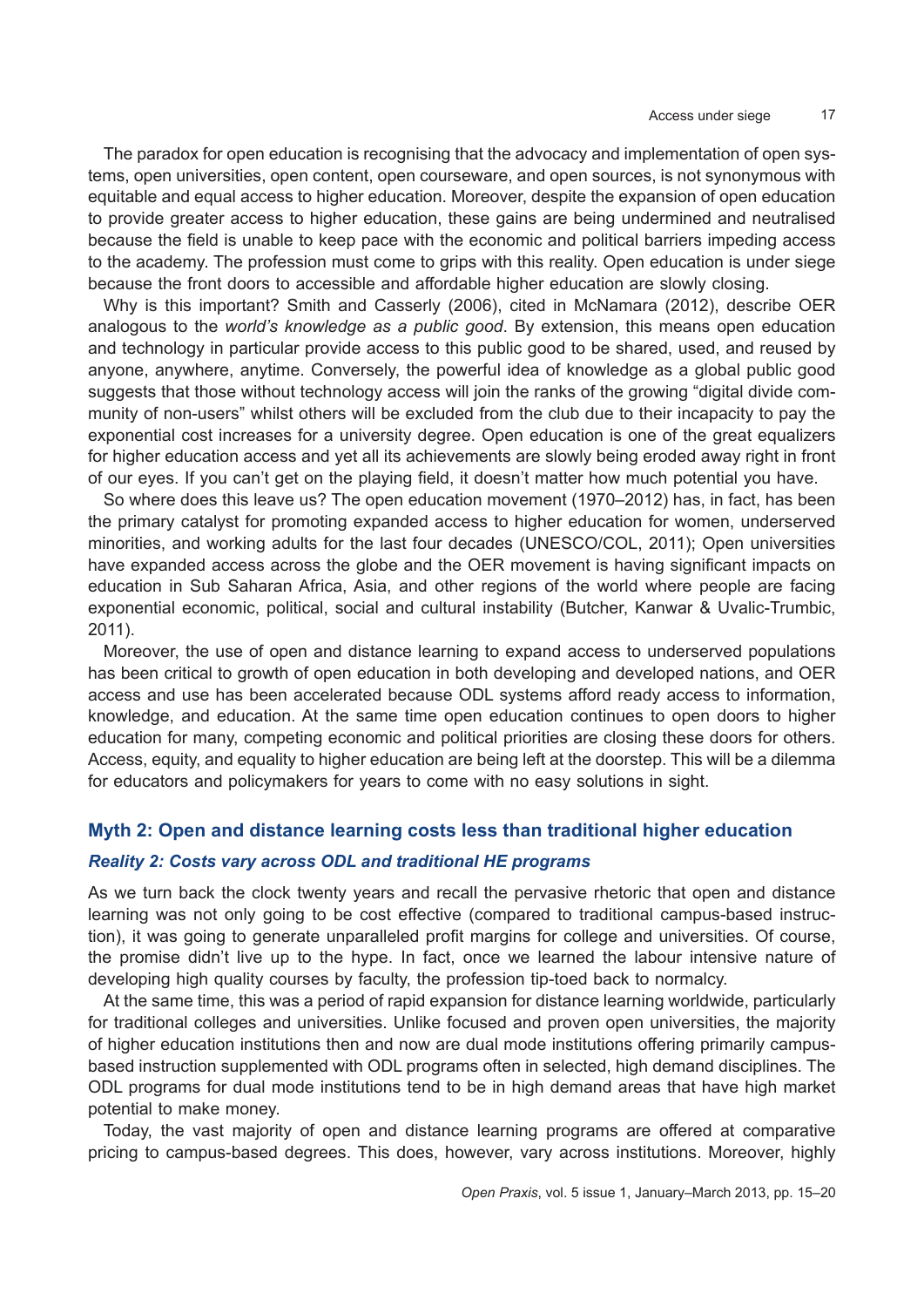The paradox for open education is recognising that the advocacy and implementation of open systems, open universities, open content, open courseware, and open sources, is not synonymous with equitable and equal access to higher education. Moreover, despite the expansion of open education to provide greater access to higher education, these gains are being undermined and neutralised because the field is unable to keep pace with the economic and political barriers impeding access to the academy. The profession must come to grips with this reality. Open education is under siege because the front doors to accessible and affordable higher education are slowly closing.

Why is this important? Smith and Casserly (2006), cited in McNamara (2012), describe OER analogous to the *world's knowledge as a public good*. By extension, this means open education and technology in particular provide access to this public good to be shared, used, and reused by anyone, anywhere, anytime. Conversely, the powerful idea of knowledge as a global public good suggests that those without technology access will join the ranks of the growing "digital divide community of non-users" whilst others will be excluded from the club due to their incapacity to pay the exponential cost increases for a university degree. Open education is one of the great equalizers for higher education access and yet all its achievements are slowly being eroded away right in front of our eyes. If you can't get on the playing field, it doesn't matter how much potential you have.

So where does this leave us? The open education movement (1970–2012) has, in fact, has been the primary catalyst for promoting expanded access to higher education for women, underserved minorities, and working adults for the last four decades (UNESCO/COL, 2011); Open universities have expanded access across the globe and the OER movement is having significant impacts on education in Sub Saharan Africa, Asia, and other regions of the world where people are facing exponential economic, political, social and cultural instability (Butcher, Kanwar & Uvalic-Trumbic, 2011).

Moreover, the use of open and distance learning to expand access to underserved populations has been critical to growth of open education in both developing and developed nations, and OER access and use has been accelerated because ODL systems afford ready access to information, knowledge, and education. At the same time open education continues to open doors to higher education for many, competing economic and political priorities are closing these doors for others. Access, equity, and equality to higher education are being left at the doorstep. This will be a dilemma for educators and policymakers for years to come with no easy solutions in sight.

## **Myth 2: Open and distance learning costs less than traditional higher education**

## *Reality 2: Costs vary across ODL and traditional HE programs*

As we turn back the clock twenty years and recall the pervasive rhetoric that open and distance learning was not only going to be cost effective (compared to traditional campus-based instruction), it was going to generate unparalleled profit margins for college and universities. Of course, the promise didn't live up to the hype. In fact, once we learned the labour intensive nature of developing high quality courses by faculty, the profession tip-toed back to normalcy.

At the same time, this was a period of rapid expansion for distance learning worldwide, particularly for traditional colleges and universities. Unlike focused and proven open universities, the majority of higher education institutions then and now are dual mode institutions offering primarily campusbased instruction supplemented with ODL programs often in selected, high demand disciplines. The ODL programs for dual mode institutions tend to be in high demand areas that have high market potential to make money.

Today, the vast majority of open and distance learning programs are offered at comparative pricing to campus-based degrees. This does, however, vary across institutions. Moreover, highly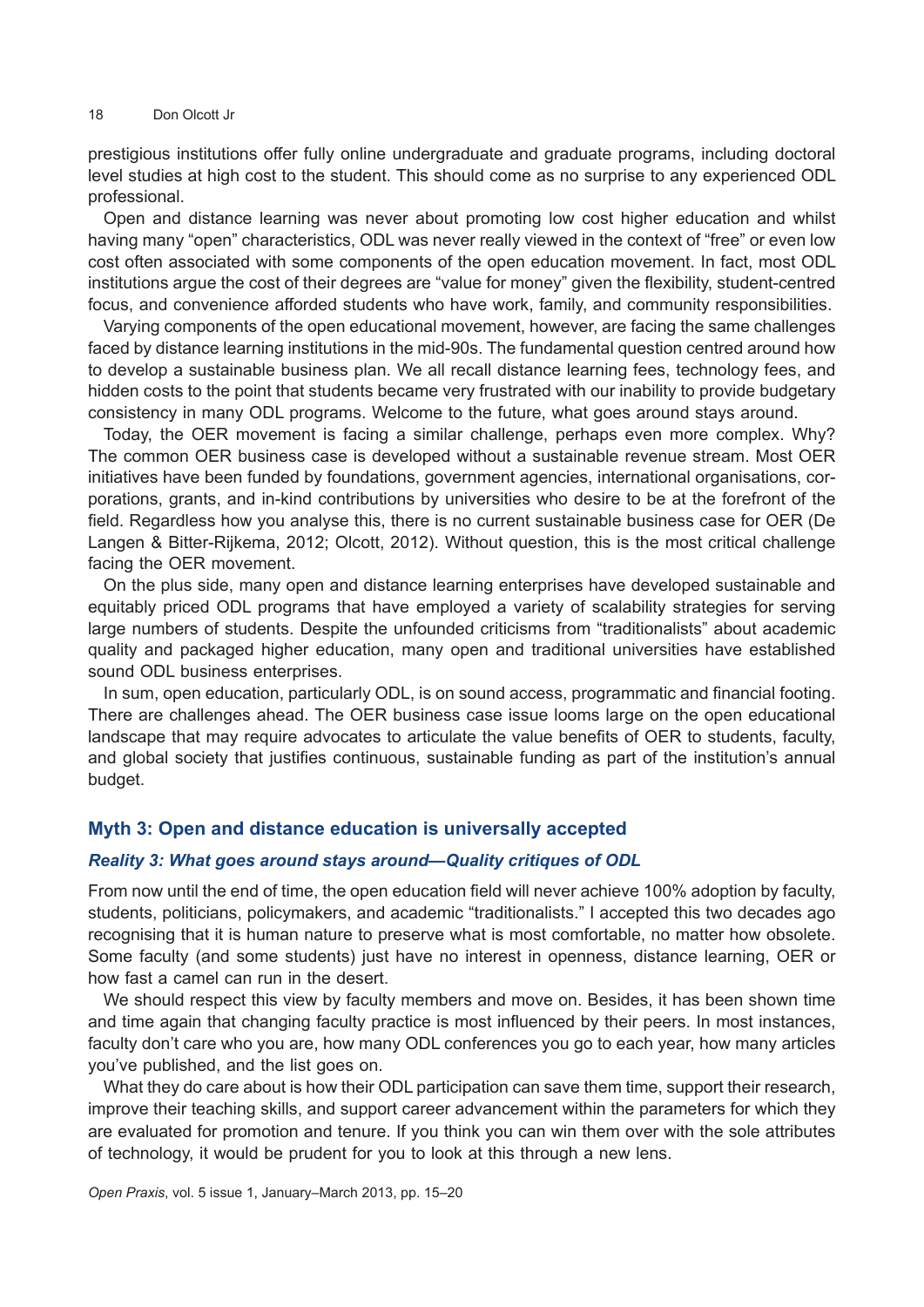#### 18 Don Olcott Jr

prestigious institutions offer fully online undergraduate and graduate programs, including doctoral level studies at high cost to the student. This should come as no surprise to any experienced ODL professional.

Open and distance learning was never about promoting low cost higher education and whilst having many "open" characteristics, ODL was never really viewed in the context of "free" or even low cost often associated with some components of the open education movement. In fact, most ODL institutions argue the cost of their degrees are "value for money" given the flexibility, student-centred focus, and convenience afforded students who have work, family, and community responsibilities.

Varying components of the open educational movement, however, are facing the same challenges faced by distance learning institutions in the mid-90s. The fundamental question centred around how to develop a sustainable business plan. We all recall distance learning fees, technology fees, and hidden costs to the point that students became very frustrated with our inability to provide budgetary consistency in many ODL programs. Welcome to the future, what goes around stays around.

Today, the OER movement is facing a similar challenge, perhaps even more complex. Why? The common OER business case is developed without a sustainable revenue stream. Most OER initiatives have been funded by foundations, government agencies, international organisations, corporations, grants, and in-kind contributions by universities who desire to be at the forefront of the field. Regardless how you analyse this, there is no current sustainable business case for OER (De Langen & Bitter-Rijkema, 2012; Olcott, 2012). Without question, this is the most critical challenge facing the OER movement.

On the plus side, many open and distance learning enterprises have developed sustainable and equitably priced ODL programs that have employed a variety of scalability strategies for serving large numbers of students. Despite the unfounded criticisms from "traditionalists" about academic quality and packaged higher education, many open and traditional universities have established sound ODL business enterprises.

In sum, open education, particularly ODL, is on sound access, programmatic and financial footing. There are challenges ahead. The OER business case issue looms large on the open educational landscape that may require advocates to articulate the value benefits of OER to students, faculty, and global society that justifies continuous, sustainable funding as part of the institution's annual budget.

# **Myth 3: Open and distance education is universally accepted**

#### *Reality 3: What goes around stays around—Quality critiques of ODL*

From now until the end of time, the open education field will never achieve 100% adoption by faculty, students, politicians, policymakers, and academic "traditionalists." I accepted this two decades ago recognising that it is human nature to preserve what is most comfortable, no matter how obsolete. Some faculty (and some students) just have no interest in openness, distance learning, OER or how fast a camel can run in the desert.

We should respect this view by faculty members and move on. Besides, it has been shown time and time again that changing faculty practice is most influenced by their peers. In most instances, faculty don't care who you are, how many ODL conferences you go to each year, how many articles you've published, and the list goes on.

What they do care about is how their ODL participation can save them time, support their research, improve their teaching skills, and support career advancement within the parameters for which they are evaluated for promotion and tenure. If you think you can win them over with the sole attributes of technology, it would be prudent for you to look at this through a new lens.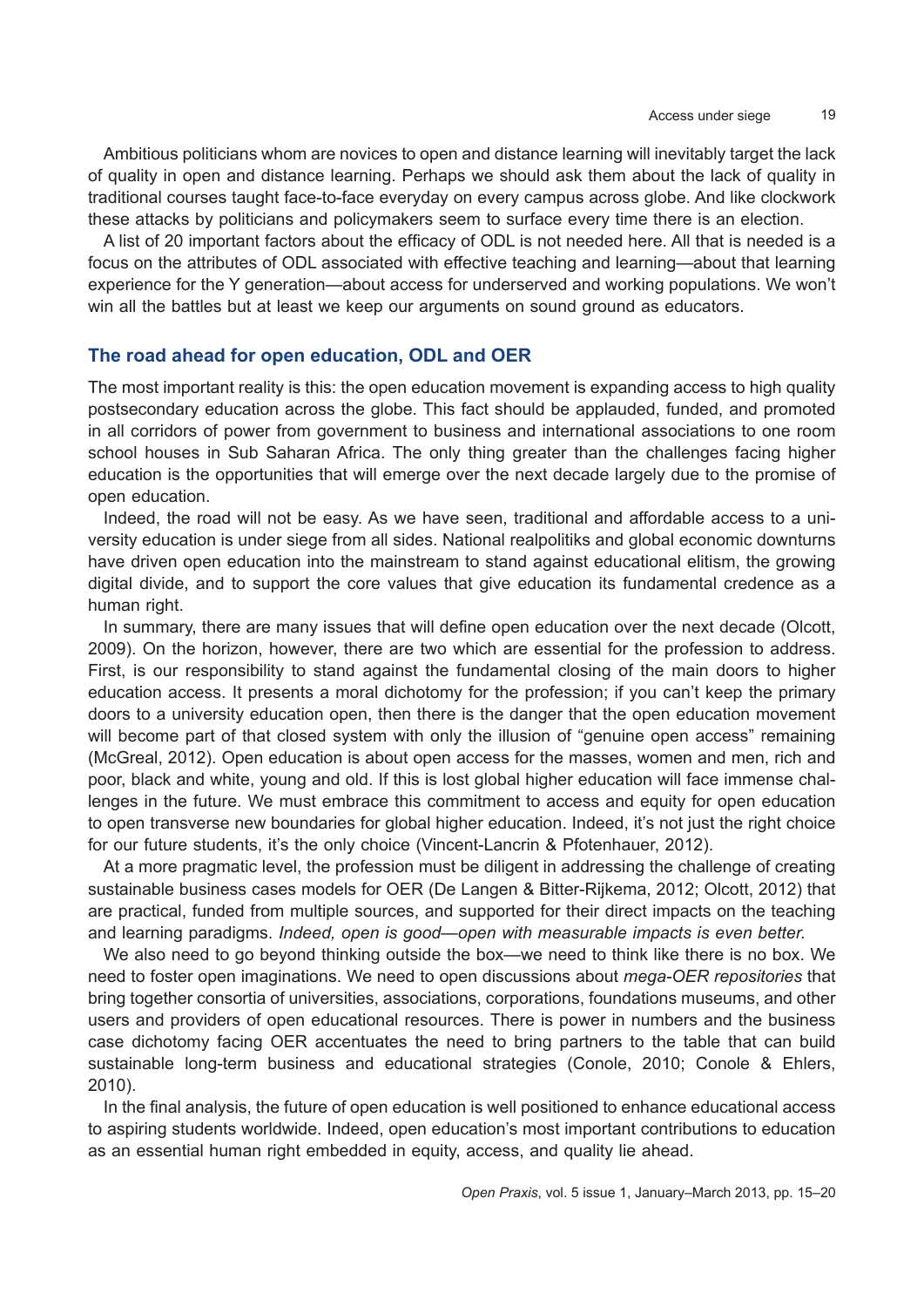Ambitious politicians whom are novices to open and distance learning will inevitably target the lack of quality in open and distance learning. Perhaps we should ask them about the lack of quality in traditional courses taught face-to-face everyday on every campus across globe. And like clockwork these attacks by politicians and policymakers seem to surface every time there is an election.

A list of 20 important factors about the efficacy of ODL is not needed here. All that is needed is a focus on the attributes of ODL associated with effective teaching and learning—about that learning experience for the Y generation—about access for underserved and working populations. We won't win all the battles but at least we keep our arguments on sound ground as educators.

## **The road ahead for open education, ODL and OER**

The most important reality is this: the open education movement is expanding access to high quality postsecondary education across the globe. This fact should be applauded, funded, and promoted in all corridors of power from government to business and international associations to one room school houses in Sub Saharan Africa. The only thing greater than the challenges facing higher education is the opportunities that will emerge over the next decade largely due to the promise of open education.

Indeed, the road will not be easy. As we have seen, traditional and affordable access to a university education is under siege from all sides. National realpolitiks and global economic downturns have driven open education into the mainstream to stand against educational elitism, the growing digital divide, and to support the core values that give education its fundamental credence as a human right.

In summary, there are many issues that will define open education over the next decade (Olcott, 2009). On the horizon, however, there are two which are essential for the profession to address. First, is our responsibility to stand against the fundamental closing of the main doors to higher education access. It presents a moral dichotomy for the profession; if you can't keep the primary doors to a university education open, then there is the danger that the open education movement will become part of that closed system with only the illusion of "genuine open access" remaining (McGreal, 2012). Open education is about open access for the masses, women and men, rich and poor, black and white, young and old. If this is lost global higher education will face immense challenges in the future. We must embrace this commitment to access and equity for open education to open transverse new boundaries for global higher education. Indeed, it's not just the right choice for our future students, it's the only choice (Vincent-Lancrin & Pfotenhauer, 2012).

At a more pragmatic level, the profession must be diligent in addressing the challenge of creating sustainable business cases models for OER (De Langen & Bitter-Rijkema, 2012; Olcott, 2012) that are practical, funded from multiple sources, and supported for their direct impacts on the teaching and learning paradigms. *Indeed, open is good—open with measurable impacts is even better.* 

We also need to go beyond thinking outside the box—we need to think like there is no box. We need to foster open imaginations. We need to open discussions about *mega-OER repositories* that bring together consortia of universities, associations, corporations, foundations museums, and other users and providers of open educational resources. There is power in numbers and the business case dichotomy facing OER accentuates the need to bring partners to the table that can build sustainable long-term business and educational strategies (Conole, 2010; Conole & Ehlers, 2010).

In the final analysis, the future of open education is well positioned to enhance educational access to aspiring students worldwide. Indeed, open education's most important contributions to education as an essential human right embedded in equity, access, and quality lie ahead.